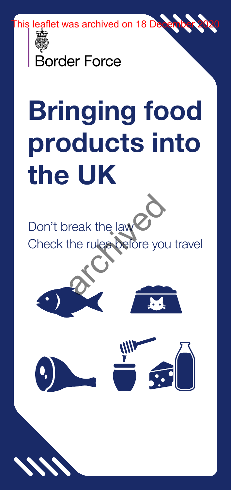his leaflet was archived on 18 De



Border Force

# Bringing food products into the UK

Don't break the law Check the rules before you travel reak the law<br>the rules before you

1 PB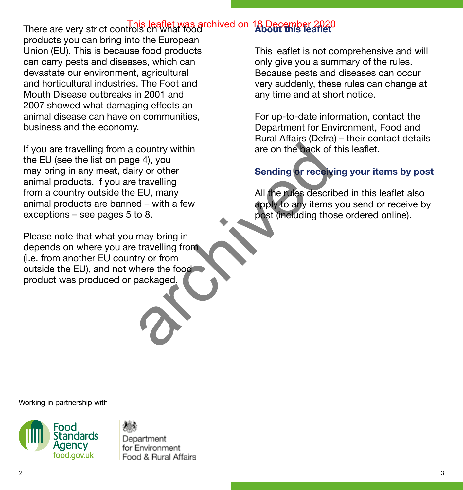# **About this leaflet** There are very strict controls on what food This leaflet was archived on 18 December 2020

products you can bring into the European Union (EU). This is because food products can carry pests and diseases, which can devastate our environment, agricultural and horticultural industries. The Foot and Mouth Disease outbreaks in 2001 and 2007 showed what damaging effects an animal disease can have on communities, business and the economy.

If you are travelling from a country within the EU (see the list on page 4), you may bring in any meat, dairy or other animal products. If you are travelling from a country outside the EU, many animal products are banned – with a few exceptions – see pages 5 to 8. country within<br>
e 4), you<br>
iry or other<br>
travelling<br>
EU, many<br>
ad – with a few<br>
to 8.<br>
may bring in<br>
travelling from<br>
there the food<br>
packaged.<br>
There the food<br>
packaged.

Please note that what you may bring in depends on where you are travelling from (i.e. from another EU country or from outside the EU), and not where the food product was produced or packaged.

This leaflet is not comprehensive and will only give you a summary of the rules. Because pests and diseases can occur very suddenly, these rules can change at any time and at short notice.

For up-to-date information, contact the Department for Environment, Food and Rural Affairs (Defra) – their contact details are on the back of this leaflet.

## **Sending or receiving your items by post**

All the rules described in this leaflet also apply to any items you send or receive by post (including those ordered online).

Working in partnership with





Department for Environment Food & Bural Affairs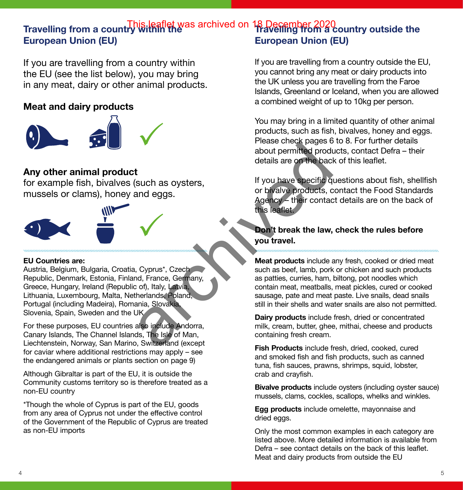#### **Travelling from a country within the Travelling from a country outside the**  This leaflet was archived on 18 December 2020 **European Union (EU) European Union (EU)**

If you are travelling from a country within the EU (see the list below), you may bring in any meat, dairy or other animal products.

#### **Meat and dairy products**



### **Any other animal product**

for example fish, bivalves (such as oysters, mussels or clams), honey and eggs.



#### **EU Countries are:**

Austria, Belgium, Bulgaria, Croatia, Cyprus\*, Czech Republic, Denmark, Estonia, Finland, France, Germany, Greece, Hungary, Ireland (Republic of), Italy, Latvia, Lithuania, Luxembourg, Malta, Netherlands, Poland, Portugal (including Madeira), Romania, Slovakia, Slovenia, Spain, Sweden and the UK

For these purposes, EU countries also include Andorra, Canary Islands, The Channel Islands, The Isle of Man, Liechtenstein, Norway, San Marino, Switzerland (except for caviar where additional restrictions may apply – see the endangered animals or plants section on page 9)

Although Gibraltar is part of the EU, it is outside the Community customs territory so is therefore treated as a non-EU country

\*Though the whole of Cyprus is part of the EU, goods from any area of Cyprus not under the effective control of the Government of the Republic of Cyprus are treated as non-EU imports

If you are travelling from a country outside the EU, you cannot bring any meat or dairy products into the UK unless you are travelling from the Faroe Islands, Greenland or Iceland, when you are allowed a combined weight of up to 10kg per person.

You may bring in a limited quantity of other animal products, such as fish, bivalves, honey and eggs. Please check pages 6 to 8. For further details about permitted products, contact Defra – their details are on the back of this leaflet.

If you have specific questions about fish, shellfish or bivalve products, contact the Food Standards Agency – their contact details are on the back of this leaflet.

**Don't break the law, check the rules before you travel.**

**Meat products** include any fresh, cooked or dried meat such as beef, lamb, pork or chicken and such products as patties, curries, ham, biltong, pot noodles which contain meat, meatballs, meat pickles, cured or cooked sausage, pate and meat paste. Live snails, dead snails still in their shells and water snails are also not permitted. Frease crient pages<br>
about permitted products<br>
and eggs.<br>
and eggs.<br>
archived back are of the back<br>
such as oysters,<br>
and eggs.<br>
<br>
archived back archived back<br>
or bivalve products, c<br>
or bivalve products, c<br>
or bivalve pro

**Dairy products** include fresh, dried or concentrated milk, cream, butter, ghee, mithai, cheese and products containing fresh cream.

**Fish Products** include fresh, dried, cooked, cured and smoked fish and fish products, such as canned tuna, fish sauces, prawns, shrimps, squid, lobster, crab and crayfish.

**Bivalve products** include oysters (including oyster sauce) mussels, clams, cockles, scallops, whelks and winkles.

**Egg products** include omelette, mayonnaise and dried eggs.

Only the most common examples in each category are listed above. More detailed information is available from Defra – see contact details on the back of this leaflet. Meat and dairy products from outside the EU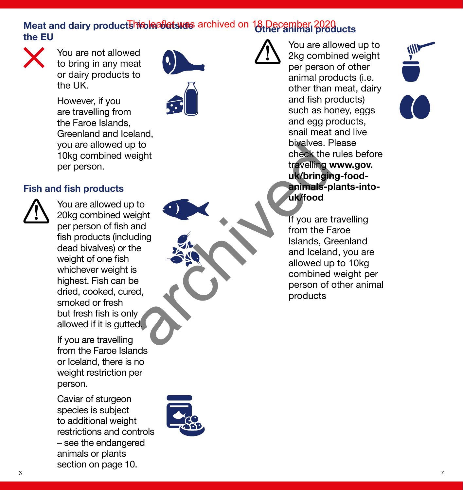## **Meat and dairy product<del>shioloallet</del>s was** archived on 18 December 2020<br>the FU **the EU**



You are not allowed to bring in any meat or dairy products to the UK.

However, if you are travelling from the Faroe Islands, Greenland and Iceland, you are allowed up to 10kg combined weight per person.

#### **Fish and fish products**



You are allowed up to 20kg combined weight per person of fish and fish products (including dead bivalves) or the weight of one fish whichever weight is highest. Fish can be dried, cooked, cured, smoked or fresh but fresh fish is only allowed if it is gutted.

If you are travelling from the Faroe Islands or Iceland, there is no weight restriction per person.

Caviar of sturgeon species is subject to additional weight restrictions and controls – see the endangered animals or plants section on page 10.



You are allowed up to 2kg combined weight per person of other animal products (i.e. other than meat, dairy and fish products) such as honey, eggs and egg products, snail meat and live bivalves. Please check the rules before travelling **[www.gov.](www.gov.uk/bringing-food-animals-plants-into-uk/food) [uk/bringing-food](www.gov.uk/bringing-food-animals-plants-into-uk/food)[animals-plants-into](www.gov.uk/bringing-food-animals-plants-into-uk/food)uk/food**

If you are travelling from the Faroe Islands, Greenland and Iceland, you are allowed up to 10kg combined weight per person of other animal products b to bivalves. P<br>
check the travelling v<br>
the check the travelling<br>
uk/bringin<br>
ding<br>
le s<br>
and lealands, Grand Iceland<br>
allow[ed](www.gov.uk/bringing-food-animals-plants-into-uk/food) up<br>
combined<br>
person of c<br>
products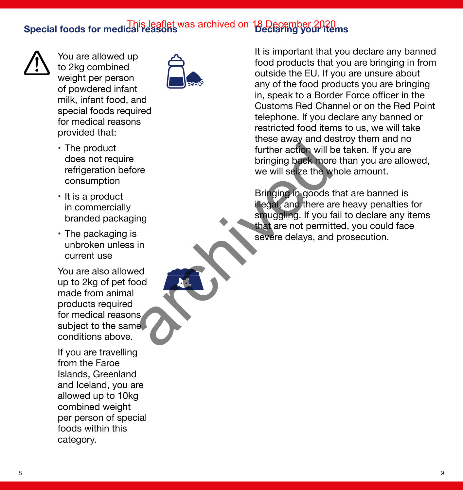## **Special foods for medical reasons Declaring your items** This leaflet was archived on 18 December 2020



You are allowed up to 2kg combined weight per person of powdered infant milk, infant food, and special foods required for medical reasons provided that:



- The product does not require refrigeration before consumption
- It is a product in commercially branded packaging
- The packaging is unbroken unless in current use

You are also allowed up to 2kg of pet food made from animal products required for medical reasons subject to the same conditions above.

If you are travelling from the Faroe Islands, Greenland and Iceland, you are allowed up to 10kg combined weight per person of special foods within this category.

It is important that you declare any banned food products that you are bringing in from outside the EU. If you are unsure about any of the food products you are bringing in, speak to a Border Force officer in the Customs Red Channel or on the Red Point telephone. If you declare any banned or restricted food items to us, we will take these away and destroy them and no further action will be taken. If you are bringing back more than you are allowed, we will seize the whole amount.

Bringing in goods that are banned is illegal, and there are heavy penalties for smuggling. If you fail to declare any items that are not permitted, you could face severe delays, and prosecution. Further action will be bringing back more<br>we will selze the w<br>we will selze the w<br>Bringing in goods the process of the state of that are not permit<br>severe delays, and<br>and there as<br>strongling. If you fixed that are not perm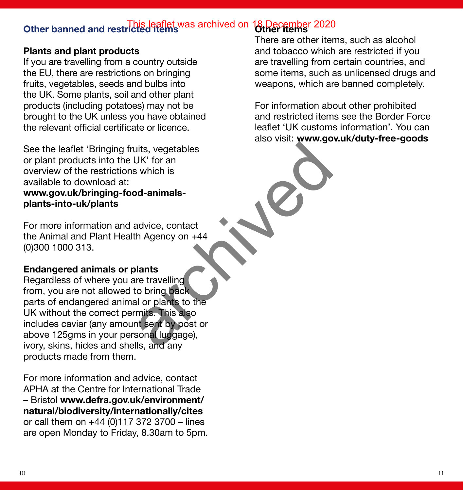# **Other banned and restricted items Other items** This leaflet was archived on 18 December 2020

#### **Plants and plant products**

If you are travelling from a country outside the EU, there are restrictions on bringing fruits, vegetables, seeds and bulbs into the UK. Some plants, soil and other plant products (including potatoes) may not be brought to the UK unless you have obtained the relevant official certificate or licence.

See the leaflet 'Bringing fruits, vegetables or plant products into the UK' for an overview of the restrictions which is available to download at: **[www.gov.uk/bringing-food-animals](www.gov.uk/bringing-food-animals-plants-into-uk/plants)[plants-into-uk/plants](www.gov.uk/bringing-food-animals-plants-into-uk/plants)**

For more information and advice, contact the Animal and Plant Health Agency on +44 (0)300 1000 313.

#### **Endangered animals or plants**

Regardless of where you are travelling from, you are not allowed to bring back parts of endangered animal or plants to the UK without the correct permits. This also includes caviar (any amount sent by post or above 125gms in your personal luggage), ivory, skins, hides and shells, and any products made from them. The Strain Separations<br>
UK' for an<br>
advice, contact<br>
advice, contact<br>
th Agency on +44<br>
alants<br>
are travelling<br>
to bring back<br>
al or plants to the<br>
mits. This also<br>
nt sent by post or<br>
sonal luggage),<br>
Ils, and any

For more information and advice, contact APHA at the Centre for International Trade – Bristol **[www.defra.gov.uk/environment/](www.defra.gov.uk/environment/natural/biodiversity/internationally/cites) [natural/biodiversity/internationally/cites](www.defra.gov.uk/environment/natural/biodiversity/internationally/cites)** or call them on  $+44$  (0)117 372 3700 – lines are open Monday to Friday, 8.30am to 5pm.

There are other items, such as alcohol and tobacco which are restricted if you are travelling from certain countries, and some items, such as unlicensed drugs and weapons, which are banned completely.

For information about other prohibited and restricted items see the Border Force leaflet 'UK customs information'. You can also visit: **<www.gov.uk/duty-free-goods>**